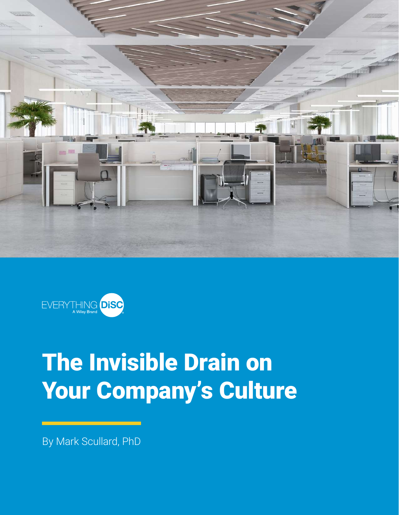



# The Invisible Drain on Your Company's Culture

By Mark Scullard, PhD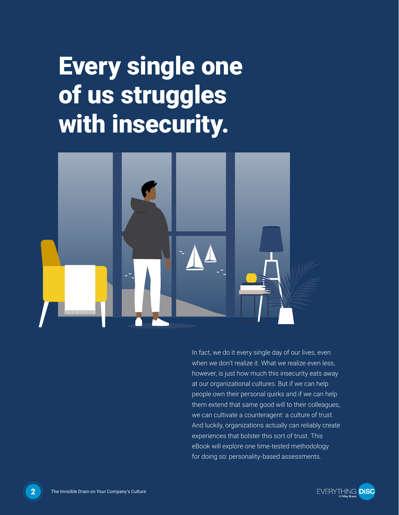# Every single one of us struggles with insecurity.



In fact, we do it every single day of our lives, even when we don't realize it. What we realize even less, however, is just how much this insecurity eats away at our organizational cultures. But if we can help people own their personal quirks and if we can help them extend that same good will to their colleagues, we can cultivate a counteragent: a culture of trust. And luckily, organizations actually can reliably create experiences that bolster this sort of trust. This eBook will explore one time-tested methodology for doing so: personality-based assessments.



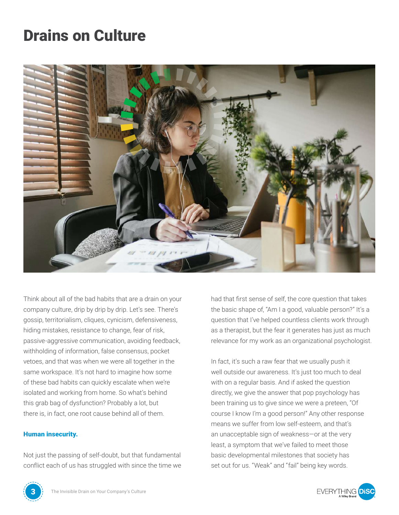### Drains on Culture



Think about all of the bad habits that are a drain on your company culture, drip by drip by drip. Let's see. There's gossip, territorialism, cliques, cynicism, defensiveness, hiding mistakes, resistance to change, fear of risk, passive-aggressive communication, avoiding feedback, withholding of information, false consensus, pocket vetoes, and that was when we were all together in the same workspace. It's not hard to imagine how some of these bad habits can quickly escalate when we're isolated and working from home. So what's behind this grab bag of dysfunction? Probably a lot, but there is, in fact, one root cause behind all of them.

#### Human insecurity.

Not just the passing of self-doubt, but that fundamental conflict each of us has struggled with since the time we had that first sense of self, the core question that takes the basic shape of, "Am I a good, valuable person?" It's a question that I've helped countless clients work through as a therapist, but the fear it generates has just as much relevance for my work as an organizational psychologist.

In fact, it's such a raw fear that we usually push it well outside our awareness. It's just too much to deal with on a regular basis. And if asked the question directly, we give the answer that pop psychology has been training us to give since we were a preteen, "Of course I know I'm a good person!" Any other response means we suffer from low self-esteem, and that's an unacceptable sign of weakness—or at the very least, a symptom that we've failed to meet those basic developmental milestones that society has set out for us. "Weak" and "fail" being key words.



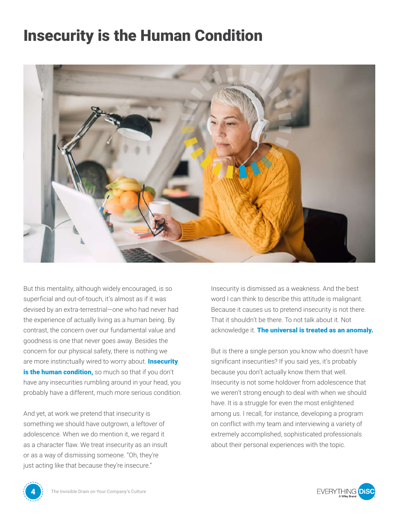#### Insecurity is the Human Condition



But this mentality, although widely encouraged, is so superficial and out-of-touch, it's almost as if it was devised by an extra-terrestrial—one who had never had the experience of actually living as a human being. By contrast, the concern over our fundamental value and goodness is one that never goes away. Besides the concern for our physical safety, there is nothing we are more instinctually wired to worry about. Insecurity is the human condition, so much so that if you don't have any insecurities rumbling around in your head, you probably have a different, much more serious condition.

And yet, at work we pretend that insecurity is something we should have outgrown, a leftover of adolescence. When we do mention it, we regard it as a character flaw. We treat insecurity as an insult or as a way of dismissing someone. "Oh, they're just acting like that because they're insecure."

Insecurity is dismissed as a weakness. And the best word I can think to describe this attitude is malignant. Because it causes us to pretend insecurity is not there. That it shouldn't be there. To not talk about it. Not acknowledge it. The universal is treated as an anomaly.

But is there a single person you know who doesn't have significant insecurities? If you said yes, it's probably because you don't actually know them that well. Insecurity is not some holdover from adolescence that we weren't strong enough to deal with when we should have. It is a struggle for even the most enlightened among us. I recall, for instance, developing a program on conflict with my team and interviewing a variety of extremely accomplished, sophisticated professionals about their personal experiences with the topic.



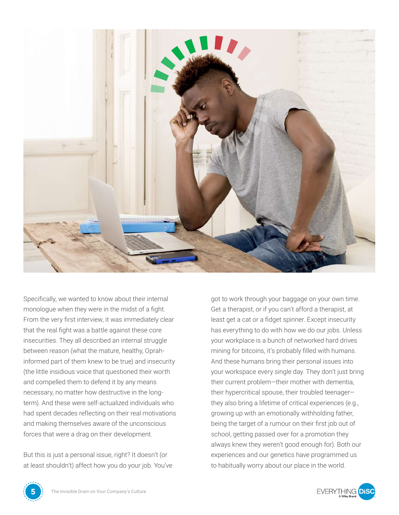

Specifically, we wanted to know about their internal monologue when they were in the midst of a fight. From the very first interview, it was immediately clear that the real fight was a battle against these core insecurities. They all described an internal struggle between reason (what the mature, healthy, Oprahinformed part of them knew to be true) and insecurity (the little insidious voice that questioned their worth and compelled them to defend it by any means necessary, no matter how destructive in the longterm). And these were self-actualized individuals who had spent decades reflecting on their real motivations and making themselves aware of the unconscious forces that were a drag on their development.

But this is just a personal issue, right? It doesn't (or at least shouldn't) affect how you do your job. You've

got to work through your baggage on your own time. Get a therapist, or if you can't afford a therapist, at least get a cat or a fidget spinner. Except insecurity has everything to do with how we do our jobs. Unless your workplace is a bunch of networked hard drives mining for bitcoins, it's probably filled with humans. And these humans bring their personal issues into your workspace every single day. They don't just bring their current problem—their mother with dementia, their hypercritical spouse, their troubled teenager they also bring a lifetime of critical experiences (e.g., growing up with an emotionally withholding father, being the target of a rumour on their first job out of school, getting passed over for a promotion they always knew they weren't good enough for). Both our experiences and our genetics have programmed us to habitually worry about our place in the world.



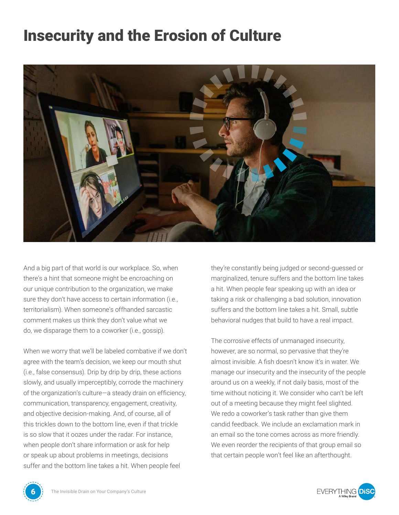### Insecurity and the Erosion of Culture



And a big part of that world is our workplace. So, when there's a hint that someone might be encroaching on our unique contribution to the organization, we make sure they don't have access to certain information (i.e., territorialism). When someone's offhanded sarcastic comment makes us think they don't value what we do, we disparage them to a coworker (i.e., gossip).

When we worry that we'll be labeled combative if we don't agree with the team's decision, we keep our mouth shut (i.e., false consensus). Drip by drip by drip, these actions slowly, and usually imperceptibly, corrode the machinery of the organization's culture—a steady drain on efficiency, communication, transparency, engagement, creativity, and objective decision-making. And, of course, all of this trickles down to the bottom line, even if that trickle is so slow that it oozes under the radar. For instance, when people don't share information or ask for help or speak up about problems in meetings, decisions suffer and the bottom line takes a hit. When people feel

they're constantly being judged or second-guessed or marginalized, tenure suffers and the bottom line takes a hit. When people fear speaking up with an idea or taking a risk or challenging a bad solution, innovation suffers and the bottom line takes a hit. Small, subtle behavioral nudges that build to have a real impact.

The corrosive effects of unmanaged insecurity, however, are so normal, so pervasive that they're almost invisible. A fish doesn't know it's in water. We manage our insecurity and the insecurity of the people around us on a weekly, if not daily basis, most of the time without noticing it. We consider who can't be left out of a meeting because they might feel slighted. We redo a coworker's task rather than give them candid feedback. We include an exclamation mark in an email so the tone comes across as more friendly. We even reorder the recipients of that group email so that certain people won't feel like an afterthought.



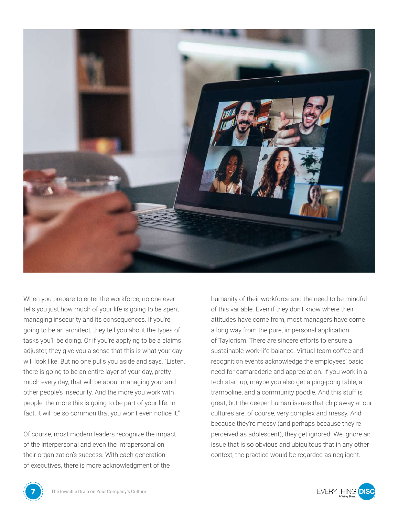

When you prepare to enter the workforce, no one ever tells you just how much of your life is going to be spent managing insecurity and its consequences. If you're going to be an architect, they tell you about the types of tasks you'll be doing. Or if you're applying to be a claims adjuster, they give you a sense that this is what your day will look like. But no one pulls you aside and says, "Listen, there is going to be an entire layer of your day, pretty much every day, that will be about managing your and other people's insecurity. And the more you work with people, the more this is going to be part of your life. In fact, it will be so common that you won't even notice it."

Of course, most modern leaders recognize the impact of the interpersonal and even the intrapersonal on their organization's success. With each generation of executives, there is more acknowledgment of the

humanity of their workforce and the need to be mindful of this variable. Even if they don't know where their attitudes have come from, most managers have come a long way from the pure, impersonal application of Taylorism. There are sincere efforts to ensure a sustainable work-life balance. Virtual team coffee and recognition events acknowledge the employees' basic need for camaraderie and appreciation. If you work in a tech start up, maybe you also get a ping-pong table, a trampoline, and a community poodle. And this stuff is great, but the deeper human issues that chip away at our cultures are, of course, very complex and messy. And because they're messy (and perhaps because they're perceived as adolescent), they get ignored. We ignore an issue that is so obvious and ubiquitous that in any other context, the practice would be regarded as negligent.



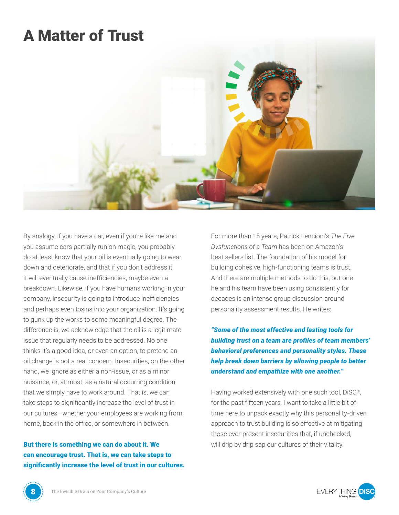#### A Matter of Trust



By analogy, if you have a car, even if you're like me and you assume cars partially run on magic, you probably do at least know that your oil is eventually going to wear down and deteriorate, and that if you don't address it, it will eventually cause inefficiencies, maybe even a breakdown. Likewise, if you have humans working in your company, insecurity is going to introduce inefficiencies and perhaps even toxins into your organization. It's going to gunk up the works to some meaningful degree. The difference is, we acknowledge that the oil is a legitimate issue that regularly needs to be addressed. No one thinks it's a good idea, or even an option, to pretend an oil change is not a real concern. Insecurities, on the other hand, we ignore as either a non-issue, or as a minor nuisance, or, at most, as a natural occurring condition that we simply have to work around. That is, we can take steps to significantly increase the level of trust in our cultures—whether your employees are working from home, back in the office, or somewhere in between.

But there is something we can do about it. We can encourage trust. That is, we can take steps to significantly increase the level of trust in our cultures. For more than 15 years, Patrick Lencioni's *The Five Dysfunctions of a Team* has been on Amazon's best sellers list. The foundation of his model for building cohesive, high-functioning teams is trust. And there are multiple methods to do this, but one he and his team have been using consistently for decades is an intense group discussion around personality assessment results. He writes:

*"Some of the most effective and lasting tools for building trust on a team are profiles of team members' behavioral preferences and personality styles. These help break down barriers by allowing people to better understand and empathize with one another."*

Having worked extensively with one such tool, DiSC®, for the past fifteen years, I want to take a little bit of time here to unpack exactly why this personality-driven approach to trust building is so effective at mitigating those ever-present insecurities that, if unchecked, will drip by drip sap our cultures of their vitality.



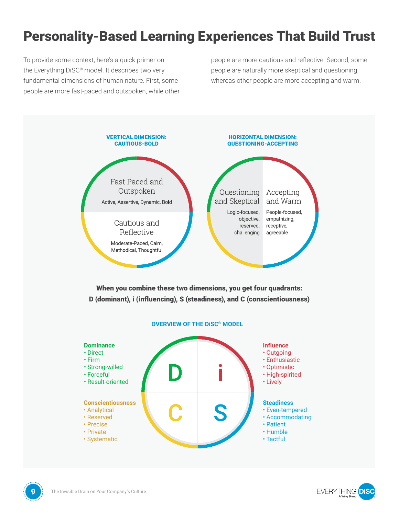#### Personality-Based Learning Experiences That Build Trust

To provide some context, here's a quick primer on the Everything DiSC® model. It describes two very fundamental dimensions of human nature. First, some people are more fast-paced and outspoken, while other

people are more cautious and reflective. Second, some people are naturally more skeptical and questioning, whereas other people are more accepting and warm.



#### **Steadiness**

- Even-tempered
- Accommodating
- Patient
- Humble
- Tactful



• Analytical • Reserved • Precise • Private • Systematic

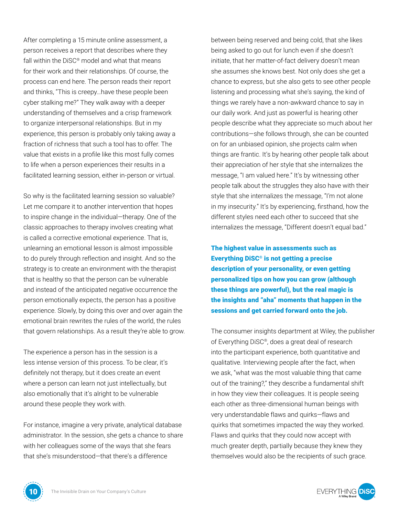After completing a 15 minute online assessment, a person receives a report that describes where they fall within the DiSC® model and what that means for their work and their relationships. Of course, the process can end here. The person reads their report and thinks, "This is creepy…have these people been cyber stalking me?" They walk away with a deeper understanding of themselves and a crisp framework to organize interpersonal relationships. But in my experience, this person is probably only taking away a fraction of richness that such a tool has to offer. The value that exists in a profile like this most fully comes to life when a person experiences their results in a facilitated learning session, either in-person or virtual.

So why is the facilitated learning session so valuable? Let me compare it to another intervention that hopes to inspire change in the individual—therapy. One of the classic approaches to therapy involves creating what is called a corrective emotional experience. That is, unlearning an emotional lesson is almost impossible to do purely through reflection and insight. And so the strategy is to create an environment with the therapist that is healthy so that the person can be vulnerable and instead of the anticipated negative occurrence the person emotionally expects, the person has a positive experience. Slowly, by doing this over and over again the emotional brain rewrites the rules of the world, the rules that govern relationships. As a result they're able to grow.

The experience a person has in the session is a less intense version of this process. To be clear, it's definitely not therapy, but it does create an event where a person can learn not just intellectually, but also emotionally that it's alright to be vulnerable around these people they work with.

For instance, imagine a very private, analytical database administrator. In the session, she gets a chance to share with her colleagues some of the ways that she fears that she's misunderstood—that there's a difference

between being reserved and being cold, that she likes being asked to go out for lunch even if she doesn't initiate, that her matter-of-fact delivery doesn't mean she assumes she knows best. Not only does she get a chance to express, but she also gets to see other people listening and processing what she's saying, the kind of things we rarely have a non-awkward chance to say in our daily work. And just as powerful is hearing other people describe what they appreciate so much about her contributions—she follows through, she can be counted on for an unbiased opinion, she projects calm when things are frantic. It's by hearing other people talk about their appreciation of her style that she internalizes the message, "I am valued here." It's by witnessing other people talk about the struggles they also have with their style that she internalizes the message, "I'm not alone in my insecurity." It's by experiencing, firsthand, how the different styles need each other to succeed that she internalizes the message, "Different doesn't equal bad."

The highest value in assessments such as Everything DiSC® is not getting a precise description of your personality, or even getting personalized tips on how you can grow (although these things are powerful), but the real magic is the insights and "aha" moments that happen in the sessions and get carried forward onto the job.

The consumer insights department at Wiley, the publisher of Everything DiSC®, does a great deal of research into the participant experience, both quantitative and qualitative. Interviewing people after the fact, when we ask, "what was the most valuable thing that came out of the training?," they describe a fundamental shift in how they view their colleagues. It is people seeing each other as three-dimensional human beings with very understandable flaws and quirks—flaws and quirks that sometimes impacted the way they worked. Flaws and quirks that they could now accept with much greater depth, partially because they knew they themselves would also be the recipients of such grace.



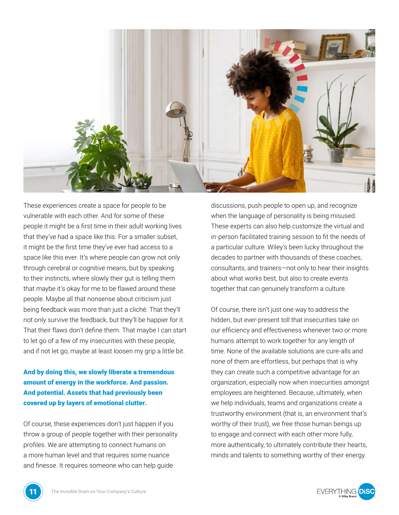

These experiences create a space for people to be vulnerable with each other. And for some of these people it might be a first time in their adult working lives that they've had a space like this. For a smaller subset, it might be the first time they've ever had access to a space like this ever. It's where people can grow not only through cerebral or cognitive means, but by speaking to their instincts, where slowly their gut is telling them that maybe it's okay for me to be flawed around these people. Maybe all that nonsense about criticism just being feedback was more than just a cliché. That they'll not only survive the feedback, but they'll be happier for it. That their flaws don't define them. That maybe I can start to let go of a few of my insecurities with these people, and if not let go, maybe at least loosen my grip a little bit.

And by doing this, we slowly liberate a tremendous amount of energy in the workforce. And passion. And potential. Assets that had previously been covered up by layers of emotional clutter.

Of course, these experiences don't just happen if you throw a group of people together with their personality profiles. We are attempting to connect humans on a more human level and that requires some nuance and finesse. It requires someone who can help guide

discussions, push people to open up, and recognize when the language of personality is being misused. These experts can also help customize the virtual and in-person facilitated training session to fit the needs of a particular culture. Wiley's been lucky throughout the decades to partner with thousands of these coaches, consultants, and trainers—not only to hear their insights about what works best, but also to create events together that can genuinely transform a culture.

Of course, there isn't just one way to address the hidden, but ever-present toll that insecurities take on our efficiency and effectiveness whenever two or more humans attempt to work together for any length of time. None of the available solutions are cure-alls and none of them are effortless, but perhaps that is why they can create such a competitive advantage for an organization, especially now when insecurities amongst employees are heightened. Because, ultimately, when we help individuals, teams and organizations create a trustworthy environment (that is, an environment that's worthy of their trust), we free those human beings up to engage and connect with each other more fully, more authentically, to ultimately contribute their hearts, minds and talents to something worthy of their energy.